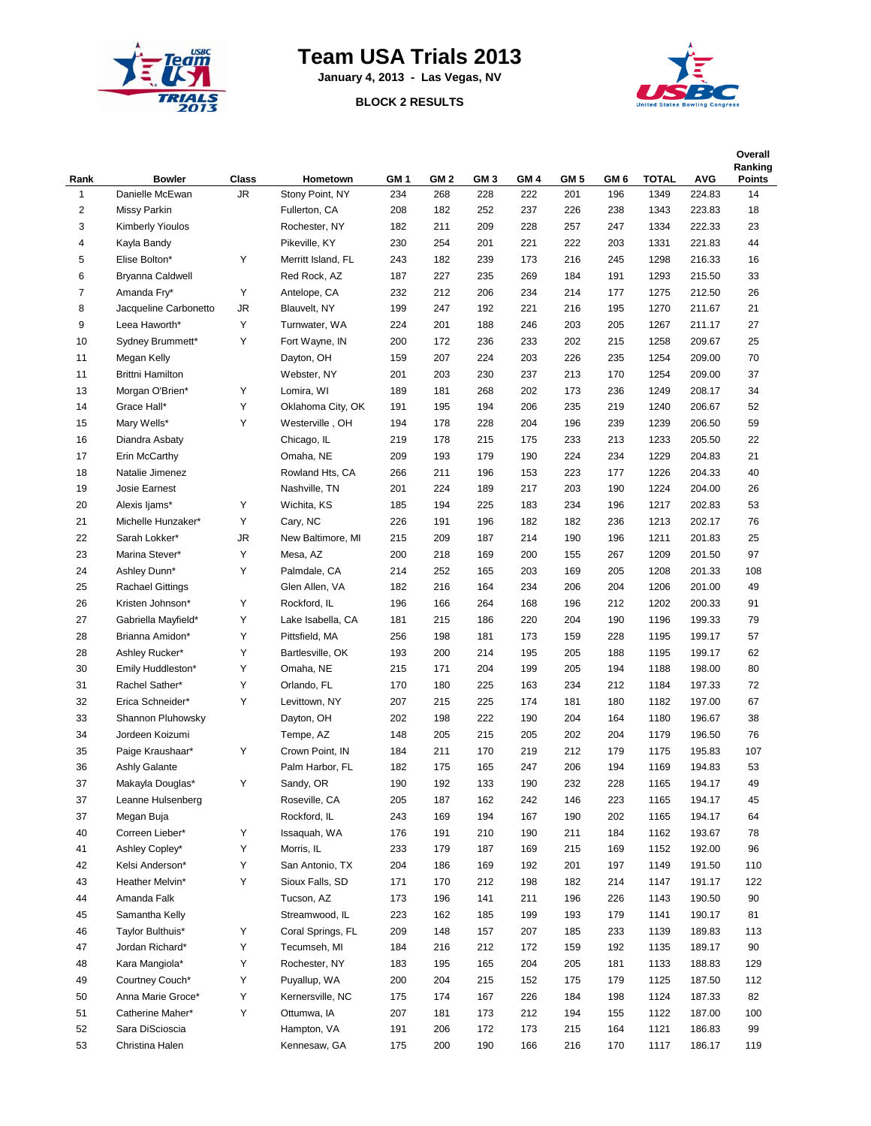

## **Team USA Trials 2013**

**January 4, 2013 - Las Vegas, NV**

## **BLOCK 2 RESULTS**



| Rank           | <b>Bowler</b>           | Class     | Hometown           | GM 1 | GM <sub>2</sub> | GM <sub>3</sub> | GM 4 | GM <sub>5</sub> | GM 6 | <b>TOTAL</b> | <b>AVG</b>       | Overall<br>Ranking<br><b>Points</b> |
|----------------|-------------------------|-----------|--------------------|------|-----------------|-----------------|------|-----------------|------|--------------|------------------|-------------------------------------|
| $\mathbf{1}$   | Danielle McEwan         | <b>JR</b> | Stony Point, NY    | 234  | 268             | 228             | 222  | 201             | 196  | 1349         | 224.83           | 14                                  |
| $\overline{2}$ | Missy Parkin            |           | Fullerton, CA      | 208  | 182             | 252             | 237  | 226             | 238  | 1343         | 223.83           | 18                                  |
| 3              | <b>Kimberly Yioulos</b> |           | Rochester, NY      | 182  | 211             | 209             | 228  | 257             | 247  | 1334         | 222.33           | 23                                  |
| 4              | Kayla Bandy             |           | Pikeville, KY      | 230  | 254             | 201             | 221  | 222             | 203  | 1331         | 221.83           | 44                                  |
| 5              | Elise Bolton*           | Υ         | Merritt Island, FL | 243  | 182             | 239             | 173  | 216             | 245  | 1298         | 216.33           | 16                                  |
| 6              | Bryanna Caldwell        |           | Red Rock, AZ       | 187  | 227             | 235             | 269  | 184             | 191  | 1293         | 215.50           | 33                                  |
| $\overline{7}$ | Amanda Fry*             | Υ         | Antelope, CA       | 232  | 212             | 206             | 234  | 214             | 177  | 1275         | 212.50           | 26                                  |
| 8              | Jacqueline Carbonetto   | JR        | Blauvelt, NY       | 199  | 247             | 192             | 221  | 216             | 195  | 1270         | 211.67           | 21                                  |
| 9              | Leea Haworth*           | Υ         | Turnwater, WA      | 224  | 201             | 188             | 246  | 203             | 205  | 1267         | 211.17           | 27                                  |
| 10             | Sydney Brummett*        | Υ         | Fort Wayne, IN     | 200  | 172             | 236             | 233  | 202             | 215  | 1258         | 209.67           | 25                                  |
| 11             | Megan Kelly             |           | Dayton, OH         | 159  | 207             | 224             | 203  | 226             | 235  | 1254         | 209.00           | 70                                  |
| 11             | <b>Brittni Hamilton</b> |           | Webster, NY        | 201  | 203             | 230             | 237  | 213             | 170  | 1254         | 209.00           | 37                                  |
| 13             | Morgan O'Brien*         | Υ         | Lomira, WI         | 189  | 181             | 268             | 202  | 173             | 236  | 1249         | 208.17           | 34                                  |
| 14             | Grace Hall*             | Υ         | Oklahoma City, OK  | 191  | 195             | 194             | 206  | 235             | 219  | 1240         | 206.67           | 52                                  |
| 15             | Mary Wells*             | Υ         | Westerville, OH    | 194  | 178             | 228             | 204  | 196             | 239  | 1239         | 206.50           | 59                                  |
| 16             | Diandra Asbaty          |           | Chicago, IL        | 219  | 178             | 215             | 175  | 233             | 213  | 1233         | 205.50           | 22                                  |
| 17             | Erin McCarthy           |           | Omaha, NE          | 209  | 193             | 179             | 190  | 224             | 234  | 1229         | 204.83           | 21                                  |
| 18             | Natalie Jimenez         |           | Rowland Hts, CA    | 266  | 211             | 196             | 153  | 223             | 177  | 1226         | 204.33           | 40                                  |
| 19             | Josie Earnest           |           | Nashville, TN      | 201  | 224             | 189             | 217  | 203             | 190  | 1224         | 204.00           | 26                                  |
| 20             | Alexis Ijams*           | Υ         | Wichita, KS        | 185  | 194             | 225             | 183  | 234             | 196  | 1217         | 202.83           | 53                                  |
| 21             | Michelle Hunzaker*      | Υ         | Cary, NC           | 226  | 191             | 196             | 182  | 182             | 236  | 1213         | 202.17           | 76                                  |
| 22             | Sarah Lokker*           | JR        | New Baltimore, MI  | 215  | 209             | 187             | 214  | 190             | 196  | 1211         | 201.83           | 25                                  |
| 23             | Marina Stever*          | Υ         | Mesa, AZ           | 200  | 218             | 169             | 200  | 155             | 267  | 1209         | 201.50           | 97                                  |
| 24             | Ashley Dunn*            | Υ         | Palmdale, CA       | 214  | 252             | 165             | 203  | 169             | 205  | 1208         | 201.33           | 108                                 |
| 25             | <b>Rachael Gittings</b> |           | Glen Allen, VA     | 182  | 216             | 164             | 234  | 206             | 204  | 1206         | 201.00           | 49                                  |
| 26             | Kristen Johnson*        | Υ         | Rockford, IL       | 196  | 166             | 264             | 168  | 196             | 212  | 1202         | 200.33           | 91                                  |
| 27             | Gabriella Mayfield*     | Υ         | Lake Isabella, CA  | 181  | 215             | 186             | 220  | 204             | 190  | 1196         | 199.33           | 79                                  |
| 28             | Brianna Amidon*         | Υ         | Pittsfield, MA     | 256  | 198             | 181             | 173  | 159             | 228  | 1195         | 199.17           | 57                                  |
| 28             | Ashley Rucker*          | Υ         | Bartlesville, OK   | 193  | 200             | 214             | 195  | 205             | 188  | 1195         | 199.17           | 62                                  |
| 30             | Emily Huddleston*       | Υ         | Omaha, NE          | 215  | 171             | 204             | 199  | 205             | 194  | 1188         | 198.00           | 80                                  |
| 31             | Rachel Sather*          | Υ         | Orlando, FL        | 170  | 180             | 225             | 163  | 234             | 212  | 1184         | 197.33           | 72                                  |
| 32             | Erica Schneider*        | Υ         | Levittown, NY      | 207  | 215             | 225             | 174  | 181             | 180  | 1182         | 197.00           | 67                                  |
| 33             | Shannon Pluhowsky       |           | Dayton, OH         | 202  | 198             | 222             | 190  | 204             | 164  | 1180         | 196.67           | 38                                  |
| 34             | Jordeen Koizumi         |           | Tempe, AZ          | 148  | 205             | 215             | 205  | 202             | 204  | 1179         | 196.50           | 76                                  |
| 35             | Paige Kraushaar*        | Υ         | Crown Point, IN    | 184  | 211             | 170             | 219  | 212             | 179  | 1175         | 195.83           | 107                                 |
| 36             | Ashly Galante           |           | Palm Harbor, FL    | 182  | 175             | 165             | 247  | 206             | 194  | 1169         | 194.83           | 53                                  |
| 37             | Makayla Douglas*        | Υ         | Sandy, OR          | 190  | 192             | 133             | 190  | 232             | 228  | 1165         | 194.17           | 49                                  |
| 37             | Leanne Hulsenberg       |           | Roseville, CA      | 205  | 187             | 162             | 242  | 146             | 223  | 1165         | 194.17           | 45                                  |
| 37             | Megan Buja              |           | Rockford, IL       | 243  | 169             | 194             | 167  | 190             | 202  | 1165         | 194.17           | 64                                  |
| 40             | Correen Lieber*         | Υ         | Issaquah, WA       | 176  | 191             | 210             | 190  | 211             | 184  | 1162         | 193.67           | 78                                  |
| 41             | Ashley Copley*          | Υ         | Morris, IL         | 233  | 179             | 187             | 169  | 215             | 169  | 1152         | 192.00           | 96                                  |
|                | Kelsi Anderson*         | Υ         | San Antonio, TX    | 204  |                 |                 |      | 201             |      |              |                  | 110                                 |
| 42             |                         | Υ         |                    |      | 186             | 169             | 192  |                 | 197  | 1149         | 191.50<br>191.17 |                                     |
| 43             | Heather Melvin*         |           | Sioux Falls, SD    | 171  | 170             | 212             | 198  | 182             | 214  | 1147         |                  | 122                                 |
| 44             | Amanda Falk             |           | Tucson, AZ         | 173  | 196             | 141             | 211  | 196             | 226  | 1143         | 190.50           | 90                                  |
| 45             | Samantha Kelly          |           | Streamwood, IL     | 223  | 162             | 185             | 199  | 193             | 179  | 1141         | 190.17           | 81                                  |
| 46             | Taylor Bulthuis*        | Υ         | Coral Springs, FL  | 209  | 148             | 157             | 207  | 185             | 233  | 1139         | 189.83           | 113                                 |
| 47             | Jordan Richard*         | Υ         | Tecumseh, MI       | 184  | 216             | 212             | 172  | 159             | 192  | 1135         | 189.17           | 90                                  |
| 48             | Kara Mangiola*          | Υ         | Rochester, NY      | 183  | 195             | 165             | 204  | 205             | 181  | 1133         | 188.83           | 129                                 |
| 49             | Courtney Couch*         | Υ         | Puyallup, WA       | 200  | 204             | 215             | 152  | 175             | 179  | 1125         | 187.50           | 112                                 |
| 50             | Anna Marie Groce*       | Υ         | Kernersville, NC   | 175  | 174             | 167             | 226  | 184             | 198  | 1124         | 187.33           | 82                                  |
| 51             | Catherine Maher*        | Υ         | Ottumwa, IA        | 207  | 181             | 173             | 212  | 194             | 155  | 1122         | 187.00           | 100                                 |
| 52             | Sara DiScioscia         |           | Hampton, VA        | 191  | 206             | 172             | 173  | 215             | 164  | 1121         | 186.83           | 99                                  |
| 53             | Christina Halen         |           | Kennesaw, GA       | 175  | 200             | 190             | 166  | 216             | 170  | 1117         | 186.17           | 119                                 |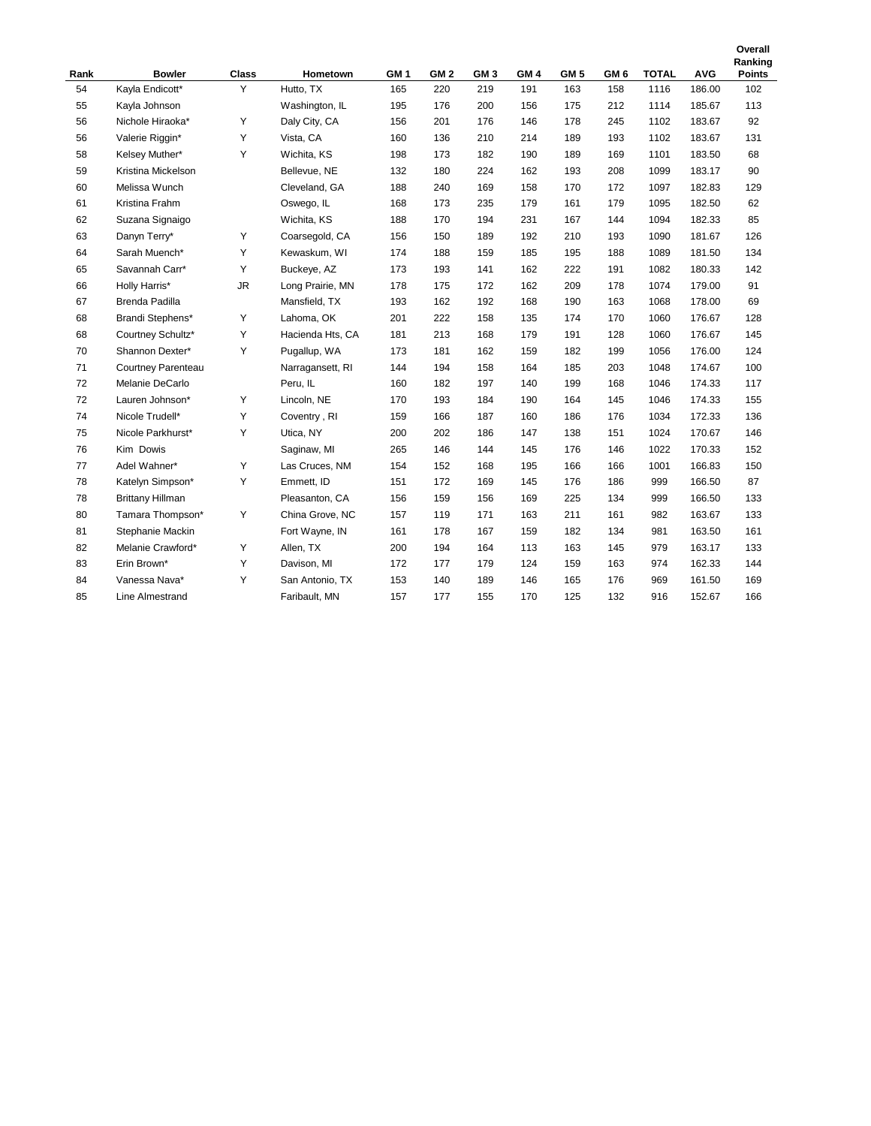| Rank | <b>Bowler</b>           | <b>Class</b> | Hometown         | GM <sub>1</sub> | GM <sub>2</sub> | GM <sub>3</sub> | GM <sub>4</sub> | GM <sub>5</sub> | GM <sub>6</sub> | <b>TOTAL</b> | <b>AVG</b> | Ranking<br><b>Points</b> |
|------|-------------------------|--------------|------------------|-----------------|-----------------|-----------------|-----------------|-----------------|-----------------|--------------|------------|--------------------------|
| 54   | Kayla Endicott*         | Y            | Hutto, TX        | 165             | 220             | 219             | 191             | 163             | 158             | 1116         | 186.00     | 102                      |
| 55   | Kayla Johnson           |              | Washington, IL   | 195             | 176             | 200             | 156             | 175             | 212             | 1114         | 185.67     | 113                      |
| 56   | Nichole Hiraoka*        | Y            | Daly City, CA    | 156             | 201             | 176             | 146             | 178             | 245             | 1102         | 183.67     | 92                       |
| 56   | Valerie Riggin*         | Υ            | Vista, CA        | 160             | 136             | 210             | 214             | 189             | 193             | 1102         | 183.67     | 131                      |
| 58   | Kelsey Muther*          | Y            | Wichita, KS      | 198             | 173             | 182             | 190             | 189             | 169             | 1101         | 183.50     | 68                       |
| 59   | Kristina Mickelson      |              | Bellevue, NE     | 132             | 180             | 224             | 162             | 193             | 208             | 1099         | 183.17     | 90                       |
| 60   | Melissa Wunch           |              | Cleveland, GA    | 188             | 240             | 169             | 158             | 170             | 172             | 1097         | 182.83     | 129                      |
| 61   | Kristina Frahm          |              | Oswego, IL       | 168             | 173             | 235             | 179             | 161             | 179             | 1095         | 182.50     | 62                       |
| 62   | Suzana Signaigo         |              | Wichita, KS      | 188             | 170             | 194             | 231             | 167             | 144             | 1094         | 182.33     | 85                       |
| 63   | Danyn Terry*            | Υ            | Coarsegold, CA   | 156             | 150             | 189             | 192             | 210             | 193             | 1090         | 181.67     | 126                      |
| 64   | Sarah Muench*           | Y            | Kewaskum, WI     | 174             | 188             | 159             | 185             | 195             | 188             | 1089         | 181.50     | 134                      |
| 65   | Savannah Carr*          | Y            | Buckeye, AZ      | 173             | 193             | 141             | 162             | 222             | 191             | 1082         | 180.33     | 142                      |
| 66   | Holly Harris*           | <b>JR</b>    | Long Prairie, MN | 178             | 175             | 172             | 162             | 209             | 178             | 1074         | 179.00     | 91                       |
| 67   | Brenda Padilla          |              | Mansfield, TX    | 193             | 162             | 192             | 168             | 190             | 163             | 1068         | 178.00     | 69                       |
| 68   | Brandi Stephens*        | Y            | Lahoma, OK       | 201             | 222             | 158             | 135             | 174             | 170             | 1060         | 176.67     | 128                      |
| 68   | Courtney Schultz*       | Υ            | Hacienda Hts, CA | 181             | 213             | 168             | 179             | 191             | 128             | 1060         | 176.67     | 145                      |
| 70   | Shannon Dexter*         | Υ            | Pugallup, WA     | 173             | 181             | 162             | 159             | 182             | 199             | 1056         | 176.00     | 124                      |
| 71   | Courtney Parenteau      |              | Narragansett, RI | 144             | 194             | 158             | 164             | 185             | 203             | 1048         | 174.67     | 100                      |
| 72   | Melanie DeCarlo         |              | Peru, IL         | 160             | 182             | 197             | 140             | 199             | 168             | 1046         | 174.33     | 117                      |
| 72   | Lauren Johnson*         | Υ            | Lincoln, NE      | 170             | 193             | 184             | 190             | 164             | 145             | 1046         | 174.33     | 155                      |
| 74   | Nicole Trudell*         | Y            | Coventry, RI     | 159             | 166             | 187             | 160             | 186             | 176             | 1034         | 172.33     | 136                      |
| 75   | Nicole Parkhurst*       | Y            | Utica, NY        | 200             | 202             | 186             | 147             | 138             | 151             | 1024         | 170.67     | 146                      |
| 76   | Kim Dowis               |              | Saginaw, MI      | 265             | 146             | 144             | 145             | 176             | 146             | 1022         | 170.33     | 152                      |
| 77   | Adel Wahner*            | Υ            | Las Cruces, NM   | 154             | 152             | 168             | 195             | 166             | 166             | 1001         | 166.83     | 150                      |
| 78   | Katelyn Simpson*        | Υ            | Emmett, ID       | 151             | 172             | 169             | 145             | 176             | 186             | 999          | 166.50     | 87                       |
| 78   | <b>Brittany Hillman</b> |              | Pleasanton, CA   | 156             | 159             | 156             | 169             | 225             | 134             | 999          | 166.50     | 133                      |
| 80   | Tamara Thompson*        | Υ            | China Grove, NC  | 157             | 119             | 171             | 163             | 211             | 161             | 982          | 163.67     | 133                      |
| 81   | Stephanie Mackin        |              | Fort Wayne, IN   | 161             | 178             | 167             | 159             | 182             | 134             | 981          | 163.50     | 161                      |
| 82   | Melanie Crawford*       | Y            | Allen, TX        | 200             | 194             | 164             | 113             | 163             | 145             | 979          | 163.17     | 133                      |
| 83   | Erin Brown*             | Υ            | Davison, MI      | 172             | 177             | 179             | 124             | 159             | 163             | 974          | 162.33     | 144                      |
| 84   | Vanessa Nava*           | Y            | San Antonio, TX  | 153             | 140             | 189             | 146             | 165             | 176             | 969          | 161.50     | 169                      |
| 85   | Line Almestrand         |              | Faribault, MN    | 157             | 177             | 155             | 170             | 125             | 132             | 916          | 152.67     | 166                      |

**Overall**